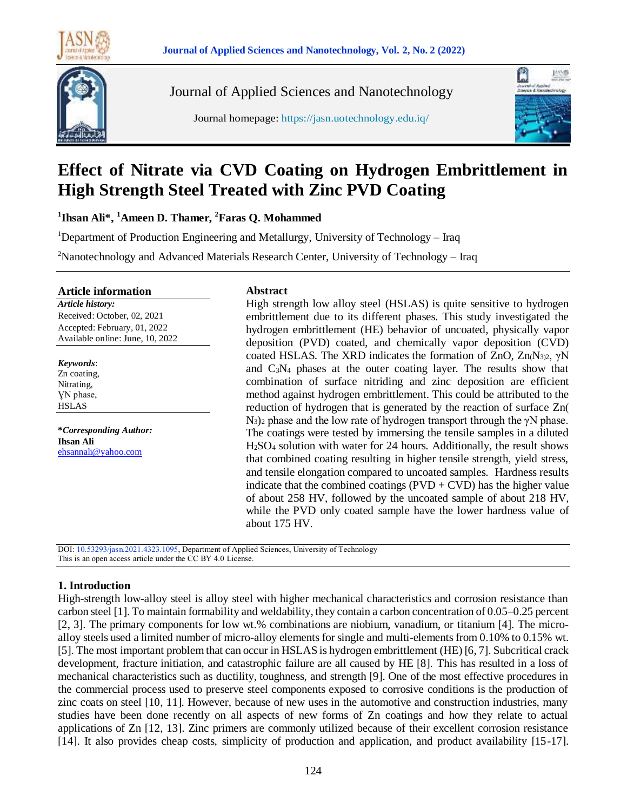



Journal of Applied Sciences and Nanotechnology

Journal homepage: https://jasn.uotechnology.edu.iq/



# **Effect of Nitrate via CVD Coating on Hydrogen Embrittlement in High Strength Steel Treated with Zinc PVD Coating**

**1 Ihsan Ali\*, <sup>1</sup>Ameen D. Thamer, <sup>2</sup>Faras Q. Mohammed**

<sup>1</sup>Department of Production Engineering and Metallurgy, University of Technology – Iraq

<sup>2</sup>Nanotechnology and Advanced Materials Research Center, University of Technology – Iraq

#### **Article information**

*Article history:* Received: October, 02, 2021 Accepted: February, 01, 2022 Available online: June, 10, 2022

*Keywords*: Zn coating, Nitrating, ƔN phase, HSLAS

**\****Corresponding Author:* **Ihsan Ali** [ehsannali@yahoo.com](mailto:ehsannali@yahoo.com)

#### **Abstract**

High strength low alloy steel (HSLAS) is quite sensitive to hydrogen embrittlement due to its different phases. This study investigated the hydrogen embrittlement (HE) behavior of uncoated, physically vapor deposition (PVD) coated, and chemically vapor deposition (CVD) coated HSLAS. The XRD indicates the formation of ZnO,  $Zn_1N_{3,2}$ ,  $\gamma N$ and C3N<sup>4</sup> phases at the outer coating layer. The results show that combination of surface nitriding and zinc deposition are efficient method against hydrogen embrittlement. This could be attributed to the reduction of hydrogen that is generated by the reaction of surface Zn(  $N_3$ )<sub>2</sub> phase and the low rate of hydrogen transport through the γN phase. The coatings were tested by immersing the tensile samples in a diluted H2SO<sup>4</sup> solution with water for 24 hours. Additionally, the result shows that combined coating resulting in higher tensile strength, yield stress, and tensile elongation compared to uncoated samples. Hardness results indicate that the combined coatings ( $PVD + CVD$ ) has the higher value of about 258 HV, followed by the uncoated sample of about 218 HV, while the PVD only coated sample have the lower hardness value of about 175 HV.

DOI: 10.53293/jasn.2021.4323.1095, Department of Applied Sciences, University of Technology This is an open access article under the CC BY 4.0 License.

# **1. Introduction**

High-strength low-alloy steel is alloy steel with higher mechanical characteristics and corrosion resistance than carbon steel [1]. To maintain formability and weldability, they contain a carbon concentration of 0.05–0.25 percent [2, 3]. The primary components for low wt.% combinations are niobium, vanadium, or titanium [4]. The microalloy steels used a limited number of micro-alloy elements for single and multi-elements from 0.10% to 0.15% wt. [5]. The most important problem that can occur in HSLAS is hydrogen embrittlement (HE) [6, 7]. Subcritical crack development, fracture initiation, and catastrophic failure are all caused by HE [8]. This has resulted in a loss of mechanical characteristics such as ductility, toughness, and strength [9]. One of the most effective procedures in the commercial process used to preserve steel components exposed to corrosive conditions is the production of zinc coats on steel [10, 11]. However, because of new uses in the automotive and construction industries, many studies have been done recently on all aspects of new forms of Zn coatings and how they relate to actual applications of Zn [12, 13]. Zinc primers are commonly utilized because of their excellent corrosion resistance [14]. It also provides cheap costs, simplicity of production and application, and product availability [15-17].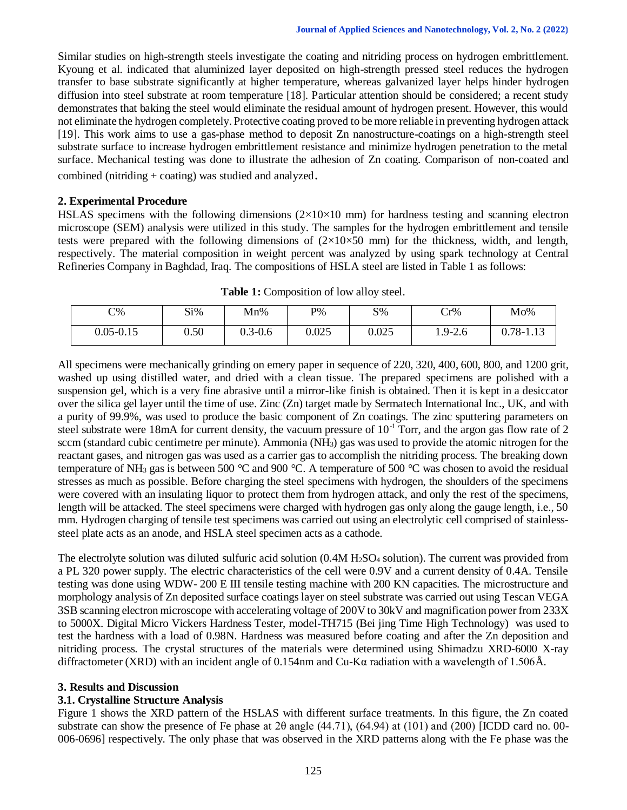Similar studies on high-strength steels investigate the coating and nitriding process on hydrogen embrittlement. Kyoung et al. indicated that aluminized layer deposited on high-strength pressed steel reduces the hydrogen transfer to base substrate significantly at higher temperature, whereas galvanized layer helps hinder hydrogen diffusion into steel substrate at room temperature [18]. Particular attention should be considered; a recent study demonstrates that baking the steel would eliminate the residual amount of hydrogen present. However, this would not eliminate the hydrogen completely. Protective coating proved to be more reliable in preventing hydrogen attack [19]. This work aims to use a gas-phase method to deposit Zn nanostructure-coatings on a high-strength steel substrate surface to increase hydrogen embrittlement resistance and minimize hydrogen penetration to the metal surface. Mechanical testing was done to illustrate the adhesion of Zn coating. Comparison of non-coated and combined (nitriding + coating) was studied and analyzed.

#### **2. Experimental Procedure**

HSLAS specimens with the following dimensions  $(2\times10\times10$  mm) for hardness testing and scanning electron microscope (SEM) analysis were utilized in this study. The samples for the hydrogen embrittlement and tensile tests were prepared with the following dimensions of  $(2\times10\times50 \text{ mm})$  for the thickness, width, and length, respectively. The material composition in weight percent was analyzed by using spark technology at Central Refineries Company in Baghdad, Iraq. The compositions of HSLA steel are listed in Table 1 as follows:

| $C\%$     | Si%  | Mn%         | $P\%$ | $S\%$ | Cr%         | Mo%       |
|-----------|------|-------------|-------|-------|-------------|-----------|
| 0.05-0.15 | 0.50 | $0.3 - 0.6$ | 0.025 | 0.025 | $1.9 - 2.6$ | 0.78-1.13 |

**Table 1:** Composition of low alloy steel.

All specimens were mechanically grinding on emery paper in sequence of 220, 320, 400, 600, 800, and 1200 grit, washed up using distilled water, and dried with a clean tissue. The prepared specimens are polished with a suspension gel, which is a very fine abrasive until a mirror-like finish is obtained. Then it is kept in a desiccator over the silica gel layer until the time of use. Zinc (Zn) target made by Sermatech International Inc., UK, and with a purity of 99.9%, was used to produce the basic component of Zn coatings. The zinc sputtering parameters on steel substrate were 18mA for current density, the vacuum pressure of  $10^{-1}$  Torr, and the argon gas flow rate of 2 sccm (standard cubic centimetre per minute). Ammonia (NH3) gas was used to provide the atomic nitrogen for the reactant gases, and nitrogen gas was used as a carrier gas to accomplish the nitriding process. The breaking down temperature of NH<sup>3</sup> gas is between 500 °C and 900 °C. A temperature of 500 °C was chosen to avoid the residual stresses as much as possible. Before charging the steel specimens with hydrogen, the shoulders of the specimens were covered with an insulating liquor to protect them from hydrogen attack, and only the rest of the specimens, length will be attacked. The steel specimens were charged with hydrogen gas only along the gauge length, i.e., 50 mm. Hydrogen charging of tensile test specimens was carried out using an electrolytic cell comprised of stainlesssteel plate acts as an anode, and HSLA steel specimen acts as a cathode.

The electrolyte solution was diluted sulfuric acid solution  $(0.4M H<sub>2</sub>SO<sub>4</sub>$  solution). The current was provided from a PL 320 power supply. The electric characteristics of the cell were 0.9V and a current density of 0.4A. Tensile testing was done using WDW- 200 E III tensile testing machine with 200 KN capacities. The microstructure and morphology analysis of Zn deposited surface coatings layer on steel substrate was carried out using Tescan VEGA 3SB scanning electron microscope with accelerating voltage of 200V to 30kV and magnification power from 233X to 5000X. Digital Micro Vickers Hardness Tester, model-TH715 (Bei jing Time High Technology) was used to test the hardness with a load of 0.98N. Hardness was measured before coating and after the Zn deposition and nitriding process. The crystal structures of the materials were determined using Shimadzu XRD-6000 X-ray diffractometer (XRD) with an incident angle of 0.154nm and Cu-Kα radiation with a wavelength of 1.506Å.

## **3. Results and Discussion**

## **3.1. Crystalline Structure Analysis**

Figure 1 shows the XRD pattern of the HSLAS with different surface treatments. In this figure, the Zn coated substrate can show the presence of Fe phase at 2θ angle (44.71), (64.94) at (101) and (200) [ICDD card no. 00- 006-0696] respectively. The only phase that was observed in the XRD patterns along with the Fe phase was the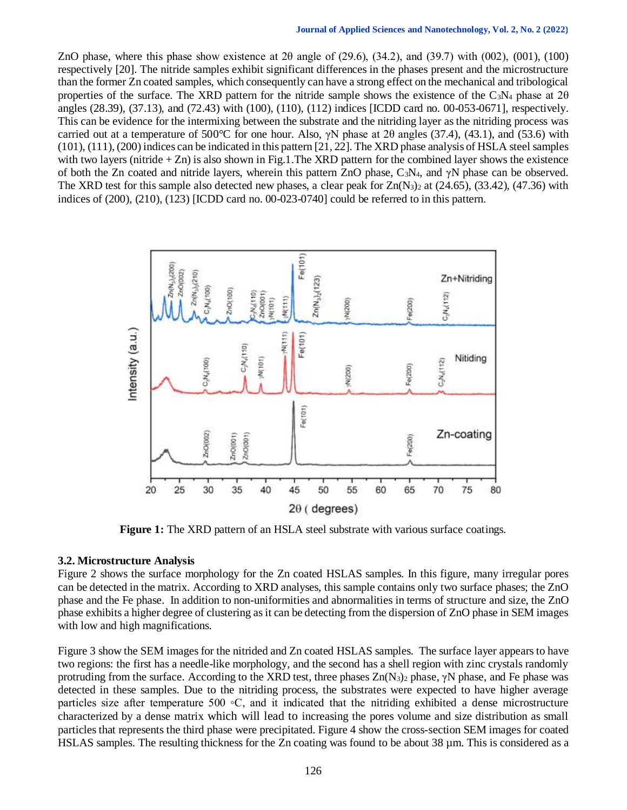ZnO phase, where this phase show existence at 2θ angle of (29.6), (34.2), and (39.7) with (002), (001), (100) respectively [20]. The nitride samples exhibit significant differences in the phases present and the microstructure than the former Zn coated samples, which consequently can have a strong effect on the mechanical and tribological properties of the surface. The XRD pattern for the nitride sample shows the existence of the C<sub>3</sub>N<sub>4</sub> phase at  $2\theta$ angles (28.39), (37.13), and (72.43) with (100), (110), (112) indices [ICDD card no. 00-053-0671], respectively. This can be evidence for the intermixing between the substrate and the nitriding layer as the nitriding process was carried out at a temperature of 500°C for one hour. Also,  $\gamma N$  phase at 2 $\theta$  angles (37.4), (43.1), and (53.6) with (101), (111), (200) indices can be indicated in this pattern [21, 22]. The XRD phase analysis of HSLA steel samples with two layers (nitride  $+ Zn$ ) is also shown in Fig.1. The XRD pattern for the combined layer shows the existence of both the Zn coated and nitride layers, wherein this pattern ZnO phase, C<sub>3</sub>N<sub>4</sub>, and  $\gamma$ N phase can be observed. The XRD test for this sample also detected new phases, a clear peak for  $Zn(N_3)$ <sub>2</sub> at (24.65), (33.42), (47.36) with indices of (200), (210), (123) [ICDD card no. 00-023-0740] could be referred to in this pattern.



**Figure 1:** The XRD pattern of an HSLA steel substrate with various surface coatings.

## **3.2. Microstructure Analysis**

Figure 2 shows the surface morphology for the Zn coated HSLAS samples. In this figure, many irregular pores can be detected in the matrix. According to XRD analyses, this sample contains only two surface phases; the ZnO phase and the Fe phase. In addition to non-uniformities and abnormalities in terms of structure and size, the ZnO phase exhibits a higher degree of clustering as it can be detecting from the dispersion of ZnO phase in SEM images with low and high magnifications.

Figure 3 show the SEM images for the nitrided and Zn coated HSLAS samples. The surface layer appears to have two regions: the first has a needle-like morphology, and the second has a shell region with zinc crystals randomly protruding from the surface. According to the XRD test, three phases  $Zn(N_3)$ <sub>2</sub> phase,  $\gamma N$  phase, and Fe phase was detected in these samples. Due to the nitriding process, the substrates were expected to have higher average particles size after temperature 500 ∘C, and it indicated that the nitriding exhibited a dense microstructure characterized by a dense matrix which will lead to increasing the pores volume and size distribution as small particles that represents the third phase were precipitated. Figure 4 show the cross-section SEM images for coated HSLAS samples. The resulting thickness for the Zn coating was found to be about 38 µm. This is considered as a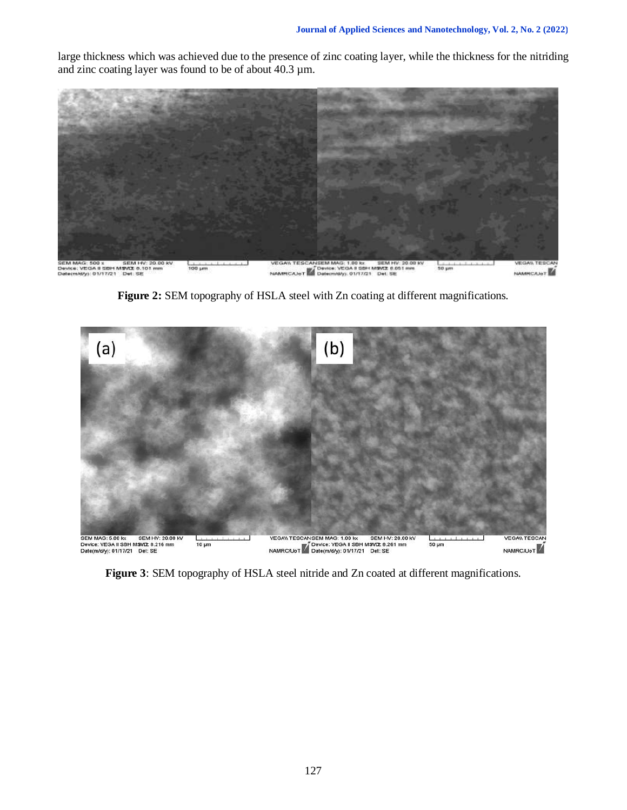large thickness which was achieved due to the presence of zinc coating layer, while the thickness for the nitriding and zinc coating layer was found to be of about 40.3 µm.



**Figure 2:** SEM topography of HSLA steel with Zn coating at different magnifications.



**Figure 3**: SEM topography of HSLA steel nitride and Zn coated at different magnifications.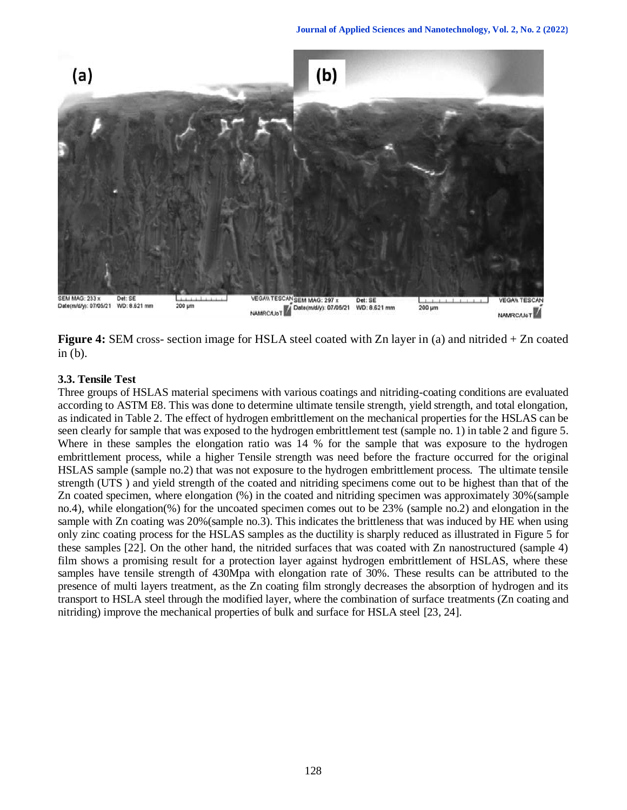

**Figure 4:** SEM cross- section image for HSLA steel coated with Zn layer in (a) and nitrided + Zn coated in (b).

# **3.3. Tensile Test**

Three groups of HSLAS material specimens with various coatings and nitriding-coating conditions are evaluated according to ASTM E8. This was done to determine ultimate tensile strength, yield strength, and total elongation, as indicated in Table 2. The effect of hydrogen embrittlement on the mechanical properties for the HSLAS can be seen clearly for sample that was exposed to the hydrogen embrittlement test (sample no. 1) in table 2 and figure 5. Where in these samples the elongation ratio was 14 % for the sample that was exposure to the hydrogen embrittlement process, while a higher Tensile strength was need before the fracture occurred for the original HSLAS sample (sample no.2) that was not exposure to the hydrogen embrittlement process. The ultimate tensile strength (UTS ) and yield strength of the coated and nitriding specimens come out to be highest than that of the Zn coated specimen, where elongation (%) in the coated and nitriding specimen was approximately 30%(sample no.4), while elongation(%) for the uncoated specimen comes out to be 23% (sample no.2) and elongation in the sample with Zn coating was 20%(sample no.3). This indicates the brittleness that was induced by HE when using only zinc coating process for the HSLAS samples as the ductility is sharply reduced as illustrated in Figure 5 for these samples [22]. On the other hand, the nitrided surfaces that was coated with Zn nanostructured (sample 4) film shows a promising result for a protection layer against hydrogen embrittlement of HSLAS, where these samples have tensile strength of 430Mpa with elongation rate of 30%. These results can be attributed to the presence of multi layers treatment, as the Zn coating film strongly decreases the absorption of hydrogen and its transport to HSLA steel through the modified layer, where the combination of surface treatments (Zn coating and nitriding) improve the mechanical properties of bulk and surface for HSLA steel [23, 24].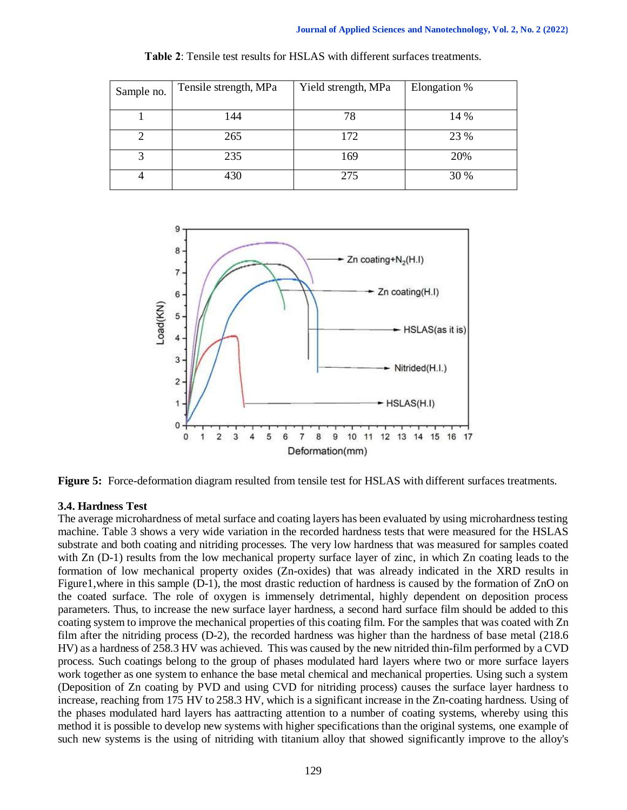| Sample no. | Tensile strength, MPa | Yield strength, MPa | Elongation % |
|------------|-----------------------|---------------------|--------------|
|            | 144                   | 78                  | 14 %         |
|            | 265                   | 172                 | 23 %         |
| 3          | 235                   | 169                 | 20%          |
|            | 430                   | 275                 | 30 %         |

**Table 2**: Tensile test results for HSLAS with different surfaces treatments.



**Figure 5:** Force-deformation diagram resulted from tensile test for HSLAS with different surfaces treatments.

# **3.4. Hardness Test**

The average microhardness of metal surface and coating layers has been evaluated by using microhardness testing machine. Table 3 shows a very wide variation in the recorded hardness tests that were measured for the HSLAS substrate and both coating and nitriding processes. The very low hardness that was measured for samples coated with Zn (D-1) results from the low mechanical property surface layer of zinc, in which Zn coating leads to the formation of low mechanical property oxides (Zn-oxides) that was already indicated in the XRD results in Figure1,where in this sample (D-1), the most drastic reduction of hardness is caused by the formation of ZnO on the coated surface. The role of oxygen is immensely detrimental, highly dependent on deposition process parameters. Thus, to increase the new surface layer hardness, a second hard surface film should be added to this coating system to improve the mechanical properties of this coating film. For the samples that was coated with Zn film after the nitriding process (D-2), the recorded hardness was higher than the hardness of base metal (218.6 HV) as a hardness of 258.3 HV was achieved. This was caused by the new nitrided thin-film performed by a CVD process. Such coatings belong to the group of phases modulated hard layers where two or more surface layers work together as one system to enhance the base metal chemical and mechanical properties. Using such a system (Deposition of Zn coating by PVD and using CVD for nitriding process) causes the surface layer hardness to increase, reaching from 175 HV to 258.3 HV, which is a significant increase in the Zn-coating hardness. Using of the phases modulated hard layers has aattracting attention to a number of coating systems, whereby using this method it is possible to develop new systems with higher specifications than the original systems, one example of such new systems is the using of nitriding with titanium alloy that showed significantly improve to the alloy's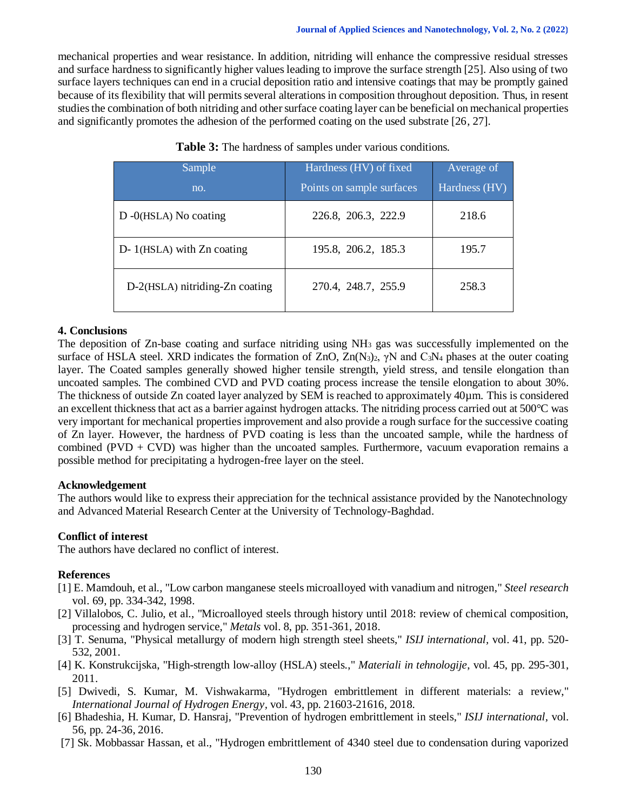mechanical properties and wear resistance. In addition, nitriding will enhance the compressive residual stresses and surface hardness to significantly higher values leading to improve the surface strength [25]. Also using of two surface layers techniques can end in a crucial deposition ratio and intensive coatings that may be promptly gained because of its flexibility that will permits several alterations in composition throughout deposition. Thus, in resent studies the combination of both nitriding and other surface coating layer can be beneficial on mechanical properties and significantly promotes the adhesion of the performed coating on the used substrate [26, 27].

| Sample                           | Hardness (HV) of fixed    | Average of    |
|----------------------------------|---------------------------|---------------|
| no.                              | Points on sample surfaces | Hardness (HV) |
| $D - O(HSLA)$ No coating         | 226.8, 206.3, 222.9       | 218.6         |
| $D-1(HSLA)$ with $Zn$ coating    | 195.8, 206.2, 185.3       | 195.7         |
| $D-2(HSLA)$ nitriding-Zn coating | 270.4, 248.7, 255.9       | 258.3         |

| Table 3: The hardness of samples under various conditions. |  |  |  |  |
|------------------------------------------------------------|--|--|--|--|
|------------------------------------------------------------|--|--|--|--|

#### **4. Conclusions**

The deposition of Zn-base coating and surface nitriding using  $NH<sub>3</sub>$  gas was successfully implemented on the surface of HSLA steel. XRD indicates the formation of ZnO,  $Zn(N_3)_2$ ,  $\gamma N$  and  $C_3N_4$  phases at the outer coating layer. The Coated samples generally showed higher tensile strength, yield stress, and tensile elongation than uncoated samples. The combined CVD and PVD coating process increase the tensile elongation to about 30%. The thickness of outside Zn coated layer analyzed by SEM is reached to approximately 40µm. This is considered an excellent thickness that act as a barrier against hydrogen attacks. The nitriding process carried out at 500°C was very important for mechanical properties improvement and also provide a rough surface for the successive coating of Zn layer. However, the hardness of PVD coating is less than the uncoated sample, while the hardness of combined  $(PVD + CVD)$  was higher than the uncoated samples. Furthermore, vacuum evaporation remains a possible method for precipitating a hydrogen-free layer on the steel.

## **Acknowledgement**

The authors would like to express their appreciation for the technical assistance provided by the Nanotechnology and Advanced Material Research Center at the University of Technology-Baghdad.

## **Conflict of interest**

The authors have declared no conflict of interest.

## **References**

- [1] E. Mamdouh, et al., "Low carbon manganese steels microalloyed with vanadium and nitrogen," *Steel research* vol. 69, pp. 334-342, 1998.
- [2] Villalobos, C. Julio, et al., "Microalloyed steels through history until 2018: review of chemical composition, processing and hydrogen service," *Metals* vol. 8, pp. 351-361, 2018.
- [3] T. Senuma, "Physical metallurgy of modern high strength steel sheets," *ISIJ international,* vol. 41, pp. 520- 532, 2001.
- [4] K. Konstrukcijska, "High-strength low-alloy (HSLA) steels.," *Materiali in tehnologije*, vol. 45, pp. 295-301, 2011.
- [5] Dwivedi, S. Kumar, M. Vishwakarma, "Hydrogen embrittlement in different materials: a review," *International Journal of Hydrogen Energy,* vol. 43, pp. 21603-21616, 2018.
- [6] Bhadeshia, H. Kumar, D. Hansraj, "Prevention of hydrogen embrittlement in steels," *ISIJ international,* vol. 56, pp. 24-36, 2016.
- [7] Sk. Mobbassar Hassan, et al., "Hydrogen embrittlement of 4340 steel due to condensation during vaporized